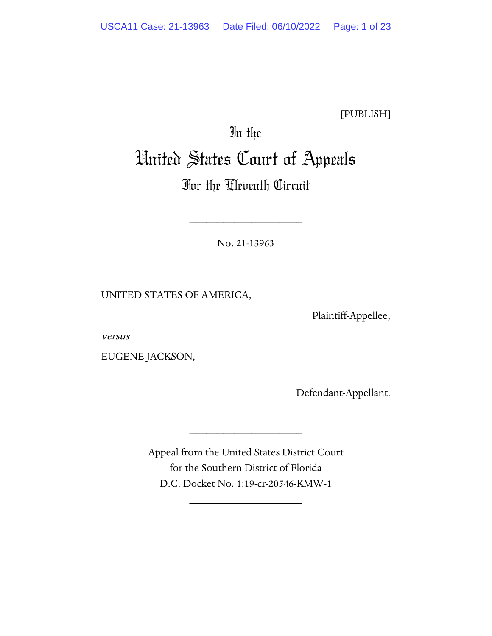[PUBLISH]

# In the United States Court of Appeals

# For the Eleventh Circuit

No. 21-13963

\_\_\_\_\_\_\_\_\_\_\_\_\_\_\_\_\_\_\_\_

\_\_\_\_\_\_\_\_\_\_\_\_\_\_\_\_\_\_\_\_

UNITED STATES OF AMERICA,

Plaintiff-Appellee,

versus

EUGENE JACKSON,

Defendant-Appellant.

Appeal from the United States District Court for the Southern District of Florida D.C. Docket No. 1:19-cr-20546-KMW-1

\_\_\_\_\_\_\_\_\_\_\_\_\_\_\_\_\_\_\_\_

\_\_\_\_\_\_\_\_\_\_\_\_\_\_\_\_\_\_\_\_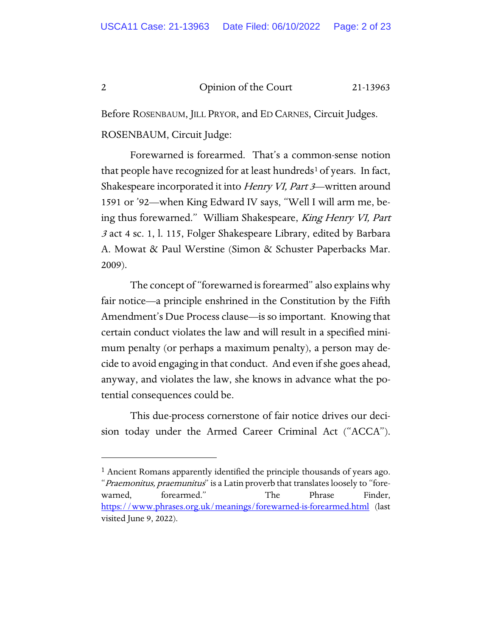Before ROSENBAUM, JILL PRYOR, and ED CARNES, Circuit Judges. ROSENBAUM, Circuit Judge:

Forewarned is forearmed. That's a common-sense notion that people have recognized for at least hundreds<sup>[1](#page-1-0)</sup> of years. In fact, Shakespeare incorporated it into Henry VI, Part 3—written around 1591 or '92—when King Edward IV says, "Well I will arm me, being thus forewarned." William Shakespeare, King Henry VI, Part <sup>3</sup> act 4 sc. 1, l. 115, Folger Shakespeare Library, edited by Barbara A. Mowat & Paul Werstine (Simon & Schuster Paperbacks Mar. 2009).

The concept of "forewarned is forearmed" also explains why fair notice—a principle enshrined in the Constitution by the Fifth Amendment's Due Process clause—is so important. Knowing that certain conduct violates the law and will result in a specified minimum penalty (or perhaps a maximum penalty), a person may decide to avoid engaging in that conduct. And even if she goes ahead, anyway, and violates the law, she knows in advance what the potential consequences could be.

This due-process cornerstone of fair notice drives our decision today under the Armed Career Criminal Act ("ACCA").

<span id="page-1-0"></span><sup>&</sup>lt;sup>1</sup> Ancient Romans apparently identified the principle thousands of years ago. "Praemonitus, praemunitus" is a Latin proverb that translates loosely to "forewarned, forearmed." The Phrase Finder, <https://www.phrases.org.uk/meanings/forewarned-is-forearmed.html> (last visited June 9, 2022).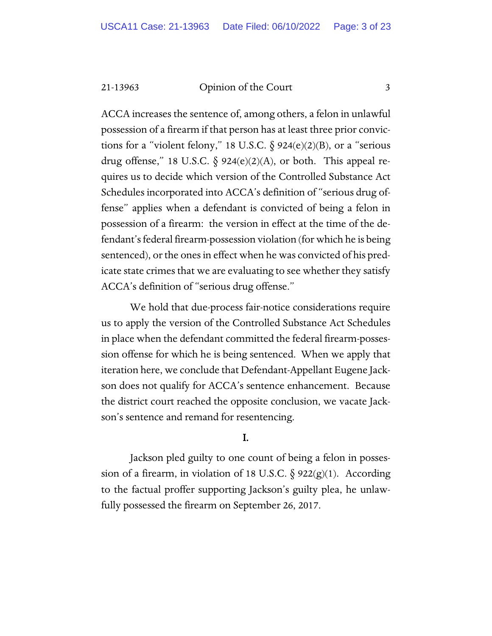ACCA increases the sentence of, among others, a felon in unlawful possession of a firearm if that person has at least three prior convictions for a "violent felony," 18 U.S.C.  $\S$  924(e)(2)(B), or a "serious drug offense," 18 U.S.C.  $\S$  924(e)(2)(A), or both. This appeal requires us to decide which version of the Controlled Substance Act Schedules incorporated into ACCA's definition of "serious drug offense" applies when a defendant is convicted of being a felon in possession of a firearm: the version in effect at the time of the defendant's federal firearm-possession violation (for which he is being sentenced), or the ones in effect when he was convicted of his predicate state crimes that we are evaluating to see whether they satisfy ACCA's definition of "serious drug offense."

We hold that due-process fair-notice considerations require us to apply the version of the Controlled Substance Act Schedules in place when the defendant committed the federal firearm-possession offense for which he is being sentenced. When we apply that iteration here, we conclude that Defendant-Appellant Eugene Jackson does not qualify for ACCA's sentence enhancement. Because the district court reached the opposite conclusion, we vacate Jackson's sentence and remand for resentencing.

#### I.

Jackson pled guilty to one count of being a felon in possession of a firearm, in violation of 18 U.S.C.  $\S$  922(g)(1). According to the factual proffer supporting Jackson's guilty plea, he unlawfully possessed the firearm on September 26, 2017.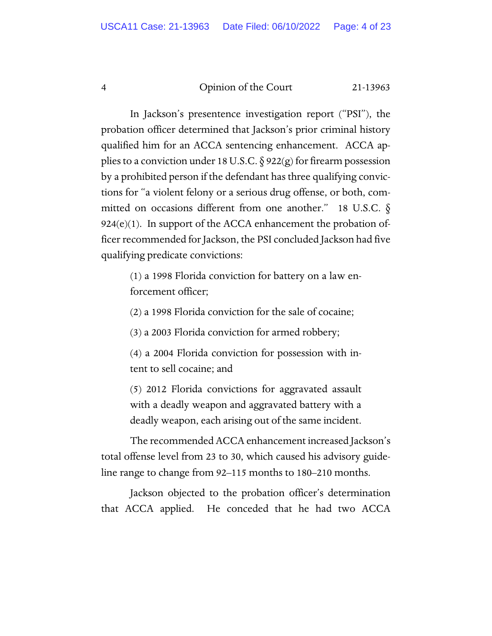In Jackson's presentence investigation report ("PSI"), the probation officer determined that Jackson's prior criminal history qualified him for an ACCA sentencing enhancement. ACCA applies to a conviction under 18 U.S.C.  $\S 922(g)$  for firearm possession by a prohibited person if the defendant has three qualifying convictions for "a violent felony or a serious drug offense, or both, committed on occasions different from one another." 18 U.S.C.  $\delta$  $924(e)(1)$ . In support of the ACCA enhancement the probation officer recommended for Jackson, the PSI concluded Jackson had five qualifying predicate convictions:

(1) a 1998 Florida conviction for battery on a law enforcement officer;

(2) a 1998 Florida conviction for the sale of cocaine;

(3) a 2003 Florida conviction for armed robbery;

(4) a 2004 Florida conviction for possession with intent to sell cocaine; and

(5) 2012 Florida convictions for aggravated assault with a deadly weapon and aggravated battery with a deadly weapon, each arising out of the same incident.

The recommended ACCA enhancement increased Jackson's total offense level from 23 to 30, which caused his advisory guideline range to change from 92–115 months to 180–210 months.

Jackson objected to the probation officer's determination that ACCA applied. He conceded that he had two ACCA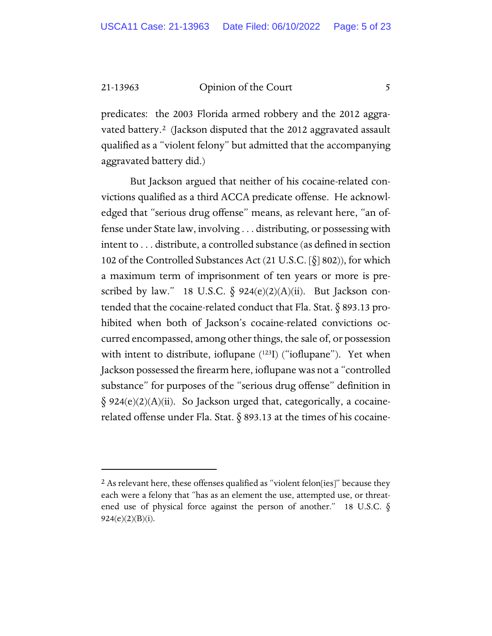predicates: the 2003 Florida armed robbery and the 2012 aggravated battery.[2](#page-4-0) (Jackson disputed that the 2012 aggravated assault qualified as a "violent felony" but admitted that the accompanying aggravated battery did.)

But Jackson argued that neither of his cocaine-related convictions qualified as a third ACCA predicate offense. He acknowledged that "serious drug offense" means, as relevant here, "an offense under State law, involving . . . distributing, or possessing with intent to . . . distribute, a controlled substance (as defined in section 102 of the Controlled Substances Act (21 U.S.C. [§] 802)), for which a maximum term of imprisonment of ten years or more is prescribed by law." 18 U.S.C.  $\delta$  924(e)(2)(A)(ii). But Jackson contended that the cocaine-related conduct that Fla. Stat. § 893.13 prohibited when both of Jackson's cocaine-related convictions occurred encompassed, among other things, the sale of, or possession with intent to distribute, ioflupane (123I) ("ioflupane"). Yet when Jackson possessed the firearm here, ioflupane was not a "controlled substance" for purposes of the "serious drug offense" definition in  $\S$  924(e)(2)(A)(ii). So Jackson urged that, categorically, a cocainerelated offense under Fla. Stat. § 893.13 at the times of his cocaine-

<span id="page-4-0"></span><sup>&</sup>lt;sup>2</sup> As relevant here, these offenses qualified as "violent felon[ies]" because they each were a felony that "has as an element the use, attempted use, or threatened use of physical force against the person of another." 18 U.S.C.  $\S$  $924(e)(2)(B)(i)$ .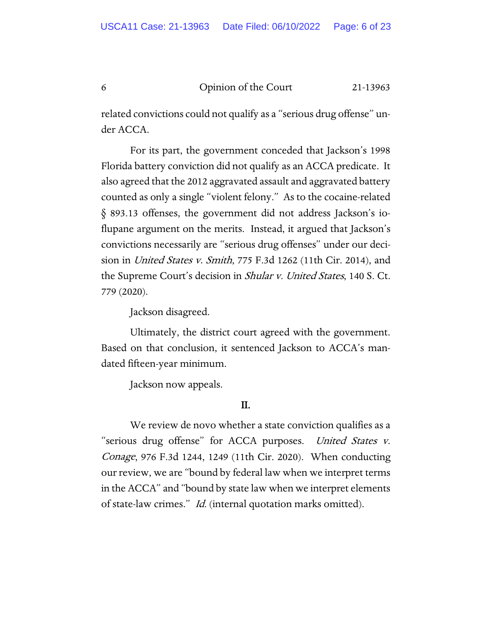related convictions could not qualify as a "serious drug offense" under ACCA.

For its part, the government conceded that Jackson's 1998 Florida battery conviction did not qualify as an ACCA predicate. It also agreed that the 2012 aggravated assault and aggravated battery counted as only a single "violent felony." As to the cocaine-related § 893.13 offenses, the government did not address Jackson's ioflupane argument on the merits. Instead, it argued that Jackson's convictions necessarily are "serious drug offenses" under our decision in United States v. Smith, 775 F.3d 1262 (11th Cir. 2014), and the Supreme Court's decision in Shular v. United States, 140 S. Ct. 779 (2020).

Jackson disagreed.

Ultimately, the district court agreed with the government. Based on that conclusion, it sentenced Jackson to ACCA's mandated fifteen-year minimum.

Jackson now appeals.

#### II.

We review de novo whether a state conviction qualifies as a "serious drug offense" for ACCA purposes. United States v. Conage, 976 F.3d 1244, 1249 (11th Cir. 2020). When conducting our review, we are "bound by federal law when we interpret terms in the ACCA" and "bound by state law when we interpret elements of state-law crimes." Id. (internal quotation marks omitted).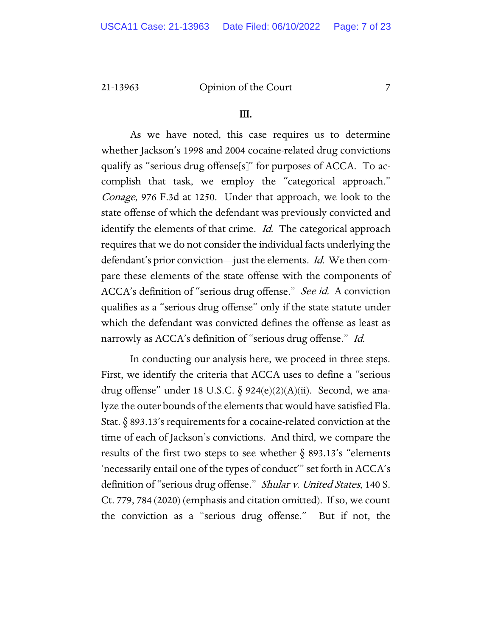#### III.

As we have noted, this case requires us to determine whether Jackson's 1998 and 2004 cocaine-related drug convictions qualify as "serious drug offense[s]" for purposes of ACCA. To accomplish that task, we employ the "categorical approach." Conage, 976 F.3d at 1250. Under that approach, we look to the state offense of which the defendant was previously convicted and identify the elements of that crime. *Id.* The categorical approach requires that we do not consider the individual facts underlying the defendant's prior conviction—just the elements. Id. We then compare these elements of the state offense with the components of ACCA's definition of "serious drug offense." See id. A conviction qualifies as a "serious drug offense" only if the state statute under which the defendant was convicted defines the offense as least as narrowly as ACCA's definition of "serious drug offense." Id.

In conducting our analysis here, we proceed in three steps. First, we identify the criteria that ACCA uses to define a "serious drug offense" under 18 U.S.C.  $\S$  924(e)(2)(A)(ii). Second, we analyze the outer bounds of the elements that would have satisfied Fla. Stat.  $\S$  893.13's requirements for a cocaine-related conviction at the time of each of Jackson's convictions. And third, we compare the results of the first two steps to see whether  $\S$  893.13's "elements 'necessarily entail one of the types of conduct'" set forth in ACCA's definition of "serious drug offense." *Shular v. United States*, 140 S. Ct. 779, 784 (2020) (emphasis and citation omitted). If so, we count the conviction as a "serious drug offense." But if not, the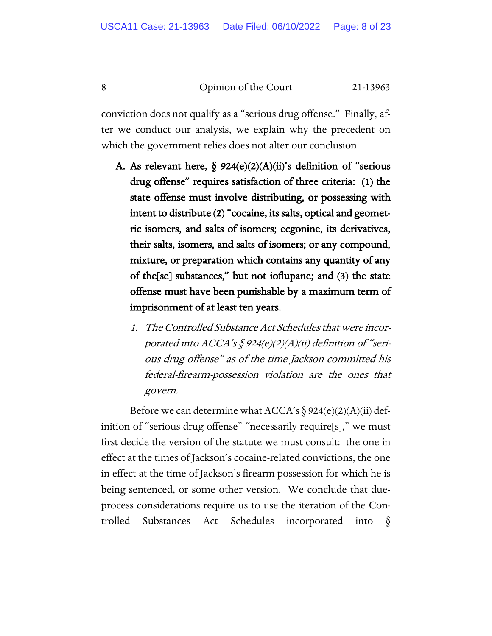conviction does not qualify as a "serious drug offense." Finally, after we conduct our analysis, we explain why the precedent on which the government relies does not alter our conclusion.

- A. As relevant here,  $\S$  924(e)(2)(A)(ii)'s definition of "serious drug offense" requires satisfaction of three criteria: (1) the state offense must involve distributing, or possessing with intent to distribute (2) "cocaine, its salts, optical and geometric isomers, and salts of isomers; ecgonine, its derivatives, their salts, isomers, and salts of isomers; or any compound, mixture, or preparation which contains any quantity of any of the[se] substances," but not ioflupane; and (3) the state offense must have been punishable by a maximum term of imprisonment of at least ten years.
	- 1. The Controlled Substance Act Schedules that were incorporated into ACCA's  $\oint$  924(e)(2)(A)(ii) definition of "serious drug offense" as of the time Jackson committed his federal-firearm-possession violation are the ones that govern.

Before we can determine what ACCA's  $\S 924(e)(2)(A)(ii)$  definition of "serious drug offense" "necessarily require[s]," we must first decide the version of the statute we must consult: the one in effect at the times of Jackson's cocaine-related convictions, the one in effect at the time of Jackson's firearm possession for which he is being sentenced, or some other version. We conclude that dueprocess considerations require us to use the iteration of the Controlled Substances Act Schedules incorporated into §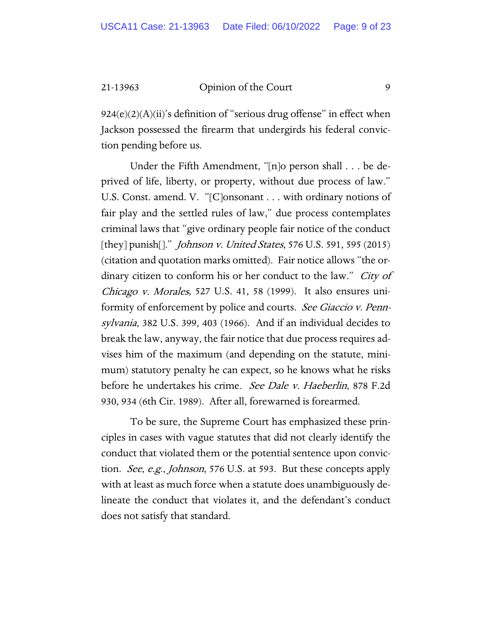$924(e)(2)(A)(ii)$ 's definition of "serious drug offense" in effect when Jackson possessed the firearm that undergirds his federal conviction pending before us.

Under the Fifth Amendment, "[n]o person shall . . . be deprived of life, liberty, or property, without due process of law." U.S. Const. amend. V. "[C]onsonant . . . with ordinary notions of fair play and the settled rules of law," due process contemplates criminal laws that "give ordinary people fair notice of the conduct [they] punish[]." *Johnson v. United States*, 576 U.S. 591, 595 (2015) (citation and quotation marks omitted). Fair notice allows "the ordinary citizen to conform his or her conduct to the law." *City of* Chicago v. Morales, 527 U.S. 41, 58 (1999). It also ensures uniformity of enforcement by police and courts. *See Giaccio v. Penn*sylvania, 382 U.S. 399, 403 (1966). And if an individual decides to break the law, anyway, the fair notice that due process requires advises him of the maximum (and depending on the statute, minimum) statutory penalty he can expect, so he knows what he risks before he undertakes his crime. See Dale v. Haeberlin, 878 F.2d 930, 934 (6th Cir. 1989). After all, forewarned is forearmed.

To be sure, the Supreme Court has emphasized these principles in cases with vague statutes that did not clearly identify the conduct that violated them or the potential sentence upon conviction. See, e.g., Johnson, 576 U.S. at 593. But these concepts apply with at least as much force when a statute does unambiguously delineate the conduct that violates it, and the defendant's conduct does not satisfy that standard.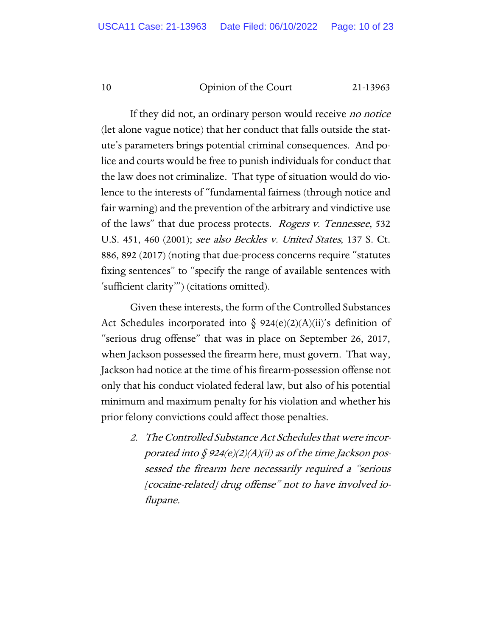If they did not, an ordinary person would receive *no notice* (let alone vague notice) that her conduct that falls outside the statute's parameters brings potential criminal consequences. And police and courts would be free to punish individuals for conduct that the law does not criminalize. That type of situation would do violence to the interests of "fundamental fairness (through notice and fair warning) and the prevention of the arbitrary and vindictive use of the laws" that due process protects. *Rogers v. Tennessee*, 532 U.S. 451, 460 (2001); see also Beckles v. United States, 137 S. Ct. 886, 892 (2017) (noting that due-process concerns require "statutes fixing sentences" to "specify the range of available sentences with 'sufficient clarity'") (citations omitted).

Given these interests, the form of the Controlled Substances Act Schedules incorporated into § 924(e)(2)(A)(ii)'s definition of "serious drug offense" that was in place on September 26, 2017, when Jackson possessed the firearm here, must govern. That way, Jackson had notice at the time of his firearm-possession offense not only that his conduct violated federal law, but also of his potential minimum and maximum penalty for his violation and whether his prior felony convictions could affect those penalties.

> 2. The Controlled Substance Act Schedules that were incorporated into  $\oint 924(e)(2)(A)(ii)$  as of the time Jackson possessed the firearm here necessarily required a "serious [cocaine-related] drug offense" not to have involved ioflupane.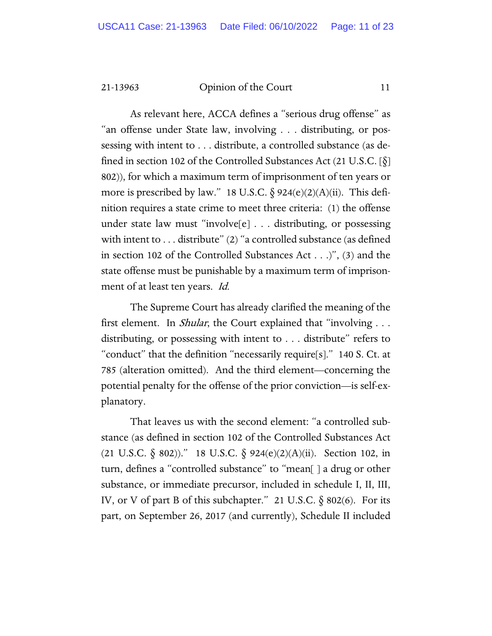As relevant here, ACCA defines a "serious drug offense" as "an offense under State law, involving . . . distributing, or possessing with intent to . . . distribute, a controlled substance (as defined in section 102 of the Controlled Substances Act  $(21 \text{ U.S.C.} [\delta])$ 802)), for which a maximum term of imprisonment of ten years or more is prescribed by law." 18 U.S.C.  $\S$  924(e)(2)(A)(ii). This definition requires a state crime to meet three criteria: (1) the offense under state law must "involve[e] . . . distributing, or possessing with intent to ... distribute" (2) "a controlled substance (as defined in section 102 of the Controlled Substances Act . . .)", (3) and the state offense must be punishable by a maximum term of imprisonment of at least ten years. Id.

The Supreme Court has already clarified the meaning of the first element. In *Shular*, the Court explained that "involving . . . distributing, or possessing with intent to . . . distribute" refers to "conduct" that the definition "necessarily require[s]." 140 S. Ct. at 785 (alteration omitted). And the third element—concerning the potential penalty for the offense of the prior conviction—is self-explanatory.

That leaves us with the second element: "a controlled substance (as defined in section 102 of the Controlled Substances Act (21 U.S.C.  $\S$  802))." 18 U.S.C.  $\S$  924(e)(2)(A)(ii). Section 102, in turn, defines a "controlled substance" to "mean[ ] a drug or other substance, or immediate precursor, included in schedule I, II, III, IV, or V of part B of this subchapter." 21 U.S.C. § 802(6). For its part, on September 26, 2017 (and currently), Schedule II included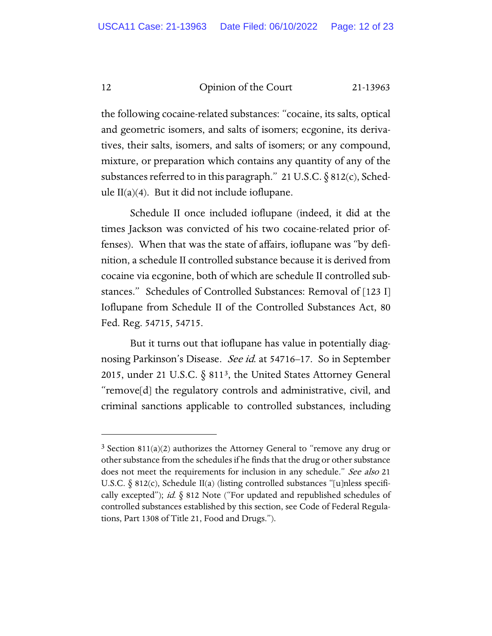the following cocaine-related substances: "cocaine, its salts, optical and geometric isomers, and salts of isomers; ecgonine, its derivatives, their salts, isomers, and salts of isomers; or any compound, mixture, or preparation which contains any quantity of any of the substances referred to in this paragraph." 21 U.S.C.  $\S 812(c)$ , Schedule  $II(a)(4)$ . But it did not include ioflupane.

Schedule II once included ioflupane (indeed, it did at the times Jackson was convicted of his two cocaine-related prior offenses). When that was the state of affairs, ioflupane was "by definition, a schedule II controlled substance because it is derived from cocaine via ecgonine, both of which are schedule II controlled substances." Schedules of Controlled Substances: Removal of [123 I] Ioflupane from Schedule II of the Controlled Substances Act, 80 Fed. Reg. 54715, 54715.

But it turns out that ioflupane has value in potentially diagnosing Parkinson's Disease. See id. at 54716–17. So in September 2015, under 21 U.S.C.  $\S$  811<sup>3</sup>, the United States Attorney General "remove[d] the regulatory controls and administrative, civil, and criminal sanctions applicable to controlled substances, including

<span id="page-11-0"></span> $3$  Section 811(a)(2) authorizes the Attorney General to "remove any drug or other substance from the schedules if he finds that the drug or other substance does not meet the requirements for inclusion in any schedule." See also 21 U.S.C.  $\S$  812(c), Schedule II(a) (listing controlled substances "[u]nless specifically excepted"); id.  $\S$  812 Note ("For updated and republished schedules of controlled substances established by this section, see Code of Federal Regulations, Part 1308 of Title 21, Food and Drugs.").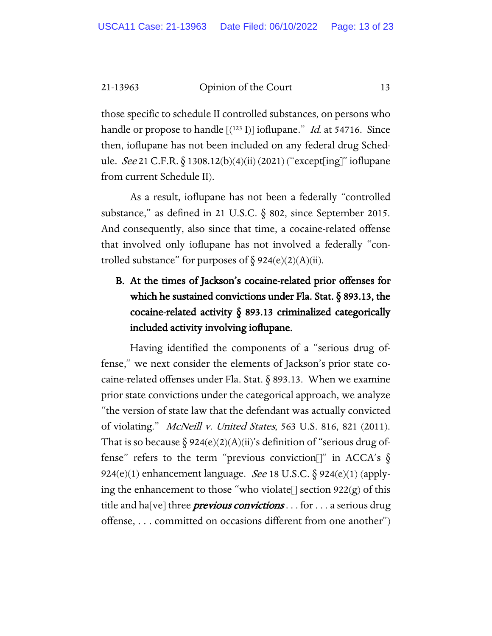those specific to schedule II controlled substances, on persons who handle or propose to handle  $[(123 \text{ I})]$  ioflupane." *Id.* at 54716. Since then, ioflupane has not been included on any federal drug Schedule. See 21 C.F.R. § 1308.12(b)(4)(ii) (2021) ("except[ing]" ioflupane from current Schedule II).

As a result, ioflupane has not been a federally "controlled substance," as defined in 21 U.S.C.  $\S$  802, since September 2015. And consequently, also since that time, a cocaine-related offense that involved only ioflupane has not involved a federally "controlled substance" for purposes of  $\S 924(e)(2)(A)(ii)$ .

## B. At the times of Jackson's cocaine-related prior offenses for which he sustained convictions under Fla. Stat. § 893.13, the cocaine-related activity § 893.13 criminalized categorically included activity involving ioflupane.

Having identified the components of a "serious drug offense," we next consider the elements of Jackson's prior state cocaine-related offenses under Fla. Stat. § 893.13. When we examine prior state convictions under the categorical approach, we analyze "the version of state law that the defendant was actually convicted of violating." McNeill v. United States, 563 U.S. 816, 821 (2011). That is so because  $\S 924(e)(2)(A)(ii)$ 's definition of "serious drug offense" refers to the term "previous conviction[]" in ACCA's  $\S$ 924(e)(1) enhancement language. See 18 U.S.C.  $\S$  924(e)(1) (applying the enhancement to those "who violate[] section  $922(g)$  of this title and ha[ve] three *previous convictions* . . . for . . . a serious drug offense, . . . committed on occasions different from one another")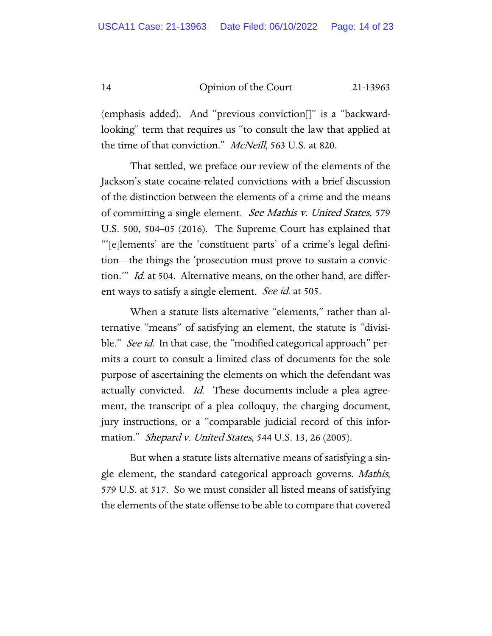(emphasis added). And "previous conviction[]" is a "backwardlooking" term that requires us "to consult the law that applied at the time of that conviction." McNeill, 563 U.S. at 820.

That settled, we preface our review of the elements of the Jackson's state cocaine-related convictions with a brief discussion of the distinction between the elements of a crime and the means of committing a single element. See Mathis v. United States, 579 U.S. 500, 504–05 (2016). The Supreme Court has explained that "'[e]lements' are the 'constituent parts' of a crime's legal definition—the things the 'prosecution must prove to sustain a conviction.'" Id. at 504. Alternative means, on the other hand, are different ways to satisfy a single element. See id. at 505.

When a statute lists alternative "elements," rather than alternative "means" of satisfying an element, the statute is "divisible." *See id.* In that case, the "modified categorical approach" permits a court to consult a limited class of documents for the sole purpose of ascertaining the elements on which the defendant was actually convicted. *Id*. These documents include a plea agreement, the transcript of a plea colloquy, the charging document, jury instructions, or a "comparable judicial record of this information." Shepard v. United States, 544 U.S. 13, 26 (2005).

But when a statute lists alternative means of satisfying a single element, the standard categorical approach governs. Mathis, 579 U.S. at 517. So we must consider all listed means of satisfying the elements of the state offense to be able to compare that covered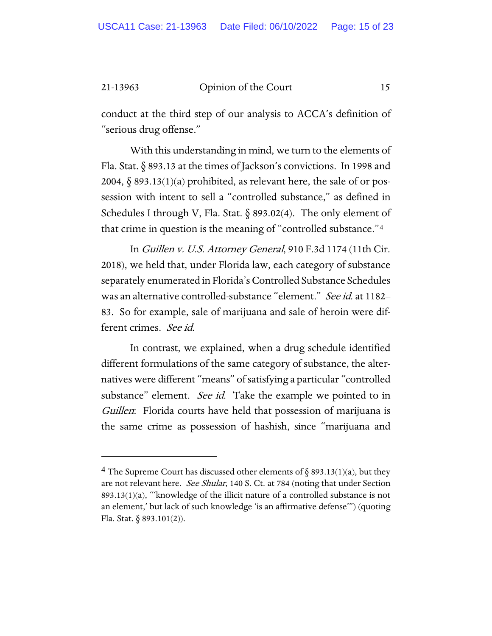conduct at the third step of our analysis to ACCA's definition of "serious drug offense."

With this understanding in mind, we turn to the elements of Fla. Stat. § 893.13 at the times of Jackson's convictions. In 1998 and 2004,  $\delta$  893.13(1)(a) prohibited, as relevant here, the sale of or possession with intent to sell a "controlled substance," as defined in Schedules I through V, Fla. Stat.  $\delta$  893.02(4). The only element of that crime in question is the meaning of "controlled substance."[4](#page-14-0)

In Guillen v. U.S. Attorney General, 910 F.3d 1174 (11th Cir. 2018), we held that, under Florida law, each category of substance separately enumerated in Florida's Controlled Substance Schedules was an alternative controlled-substance "element." See id. at 1182– 83. So for example, sale of marijuana and sale of heroin were different crimes. See id.

In contrast, we explained, when a drug schedule identified different formulations of the same category of substance, the alternatives were different "means" of satisfying a particular "controlled substance" element. See id. Take the example we pointed to in Guillen: Florida courts have held that possession of marijuana is the same crime as possession of hashish, since "marijuana and

<span id="page-14-0"></span><sup>&</sup>lt;sup>4</sup> The Supreme Court has discussed other elements of § 893.13(1)(a), but they are not relevant here. See Shular, 140 S. Ct. at 784 (noting that under Section 893.13(1)(a), "'knowledge of the illicit nature of a controlled substance is not an element,' but lack of such knowledge 'is an affirmative defense'") (quoting Fla. Stat.  $\S 893.101(2)$ ).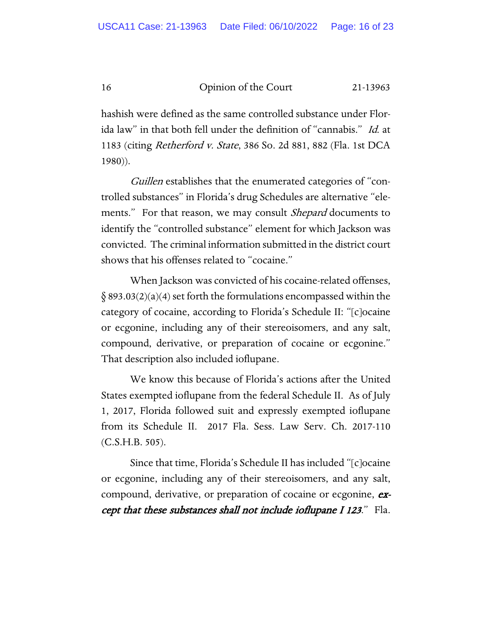hashish were defined as the same controlled substance under Florida law" in that both fell under the definition of "cannabis." Id. at 1183 (citing Retherford v. State, 386 So. 2d 881, 882 (Fla. 1st DCA 1980)).

Guillen establishes that the enumerated categories of "controlled substances" in Florida's drug Schedules are alternative "elements." For that reason, we may consult *Shepard* documents to identify the "controlled substance" element for which Jackson was convicted. The criminal information submitted in the district court shows that his offenses related to "cocaine."

When Jackson was convicted of his cocaine-related offenses,  $\S$  893.03(2)(a)(4) set forth the formulations encompassed within the category of cocaine, according to Florida's Schedule II: "[c]ocaine or ecgonine, including any of their stereoisomers, and any salt, compound, derivative, or preparation of cocaine or ecgonine." That description also included ioflupane.

We know this because of Florida's actions after the United States exempted ioflupane from the federal Schedule II. As of July 1, 2017, Florida followed suit and expressly exempted ioflupane from its Schedule II. 2017 Fla. Sess. Law Serv. Ch. 2017-110  $(C.S.H.B. 505)$ .

Since that time, Florida's Schedule II has included "[c]ocaine or ecgonine, including any of their stereoisomers, and any salt, compound, derivative, or preparation of cocaine or ecgonine, except that these substances shall not include ioflupane I 123." Fla.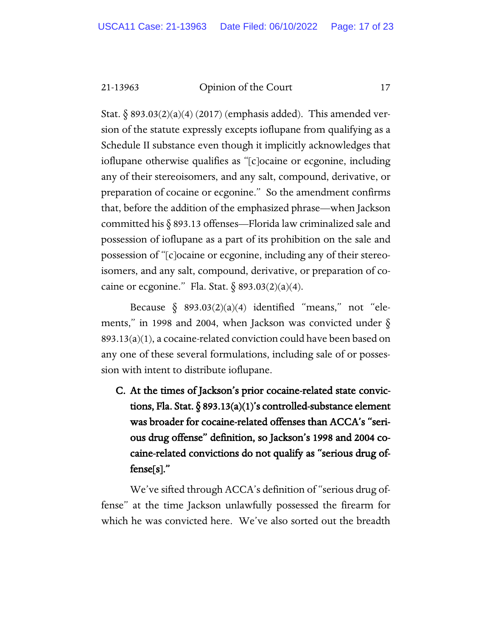Stat.  $\S$  893.03(2)(a)(4) (2017) (emphasis added). This amended version of the statute expressly excepts ioflupane from qualifying as a Schedule II substance even though it implicitly acknowledges that ioflupane otherwise qualifies as "[c]ocaine or ecgonine, including any of their stereoisomers, and any salt, compound, derivative, or preparation of cocaine or ecgonine." So the amendment confirms that, before the addition of the emphasized phrase—when Jackson committed his § 893.13 offenses—Florida law criminalized sale and possession of ioflupane as a part of its prohibition on the sale and possession of "[c]ocaine or ecgonine, including any of their stereoisomers, and any salt, compound, derivative, or preparation of cocaine or ecgonine." Fla. Stat.  $\delta$  893.03(2)(a)(4).

Because  $\S$  893.03(2)(a)(4) identified "means," not "elements," in 1998 and 2004, when Jackson was convicted under  $\S$ 893.13(a)(1), a cocaine-related conviction could have been based on any one of these several formulations, including sale of or possession with intent to distribute ioflupane.

C. At the times of Jackson's prior cocaine-related state convictions, Fla. Stat. § 893.13(a)(1)'s controlled-substance element was broader for cocaine-related offenses than ACCA's "serious drug offense" definition, so Jackson's 1998 and 2004 cocaine-related convictions do not qualify as "serious drug offense[s]."

We've sifted through ACCA's definition of "serious drug offense" at the time Jackson unlawfully possessed the firearm for which he was convicted here. We've also sorted out the breadth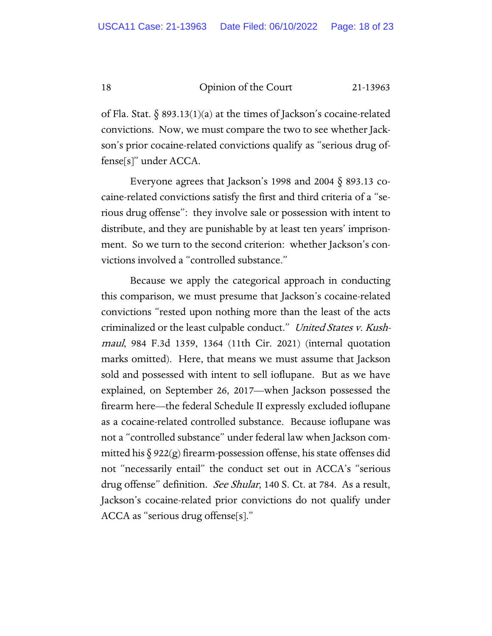of Fla. Stat.  $\S$  893.13(1)(a) at the times of Jackson's cocaine-related convictions. Now, we must compare the two to see whether Jackson's prior cocaine-related convictions qualify as "serious drug offense[s]" under ACCA.

Everyone agrees that Jackson's 1998 and 2004 § 893.13 cocaine-related convictions satisfy the first and third criteria of a "serious drug offense": they involve sale or possession with intent to distribute, and they are punishable by at least ten years' imprisonment. So we turn to the second criterion: whether Jackson's convictions involved a "controlled substance."

Because we apply the categorical approach in conducting this comparison, we must presume that Jackson's cocaine-related convictions "rested upon nothing more than the least of the acts criminalized or the least culpable conduct." United States v. Kushmaul, 984 F.3d 1359, 1364 (11th Cir. 2021) (internal quotation marks omitted). Here, that means we must assume that Jackson sold and possessed with intent to sell ioflupane. But as we have explained, on September 26, 2017—when Jackson possessed the firearm here—the federal Schedule II expressly excluded ioflupane as a cocaine-related controlled substance. Because ioflupane was not a "controlled substance" under federal law when Jackson committed his  $\S 922(g)$  firearm-possession offense, his state offenses did not "necessarily entail" the conduct set out in ACCA's "serious drug offense" definition. See Shular, 140 S. Ct. at 784. As a result, Jackson's cocaine-related prior convictions do not qualify under ACCA as "serious drug offense[s]."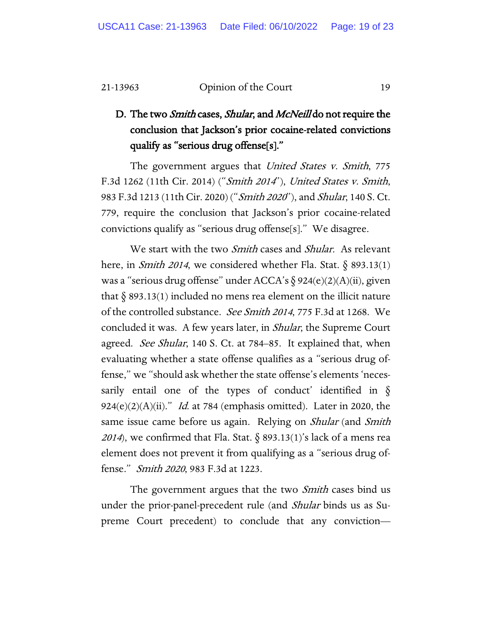### D. The two *Smith* cases, *Shular*, and *McNeill* do not require the conclusion that Jackson's prior cocaine-related convictions qualify as "serious drug offense[s]."

The government argues that United States v. Smith, 775 F.3d 1262 (11th Cir. 2014) ("Smith 2014"), United States v. Smith, 983 F.3d 1213 (11th Cir. 2020) ("*Smith 2020*"), and *Shular*, 140 S. Ct. 779, require the conclusion that Jackson's prior cocaine-related convictions qualify as "serious drug offense[s]." We disagree.

We start with the two *Smith* cases and *Shular*. As relevant here, in *Smith 2014*, we considered whether Fla. Stat.  $\delta$  893.13(1) was a "serious drug offense" under ACCA's  $\S 924(e)(2)(A)(ii)$ , given that  $\delta$  893.13(1) included no mens rea element on the illicit nature of the controlled substance. See Smith <sup>2014</sup>, 775 F.3d at 1268. We concluded it was. A few years later, in Shular, the Supreme Court agreed. *See Shular*, 140 S. Ct. at 784–85. It explained that, when evaluating whether a state offense qualifies as a "serious drug offense," we "should ask whether the state offense's elements 'necessarily entail one of the types of conduct' identified in  $\S$ 924(e)(2)(A)(ii)." Id. at 784 (emphasis omitted). Later in 2020, the same issue came before us again. Relying on *Shular* (and *Smith* 2014), we confirmed that Fla. Stat.  $\delta$  893.13(1)'s lack of a mens rea element does not prevent it from qualifying as a "serious drug offense." Smith 2020, 983 F.3d at 1223.

The government argues that the two *Smith* cases bind us under the prior-panel-precedent rule (and *Shular* binds us as Supreme Court precedent) to conclude that any conviction—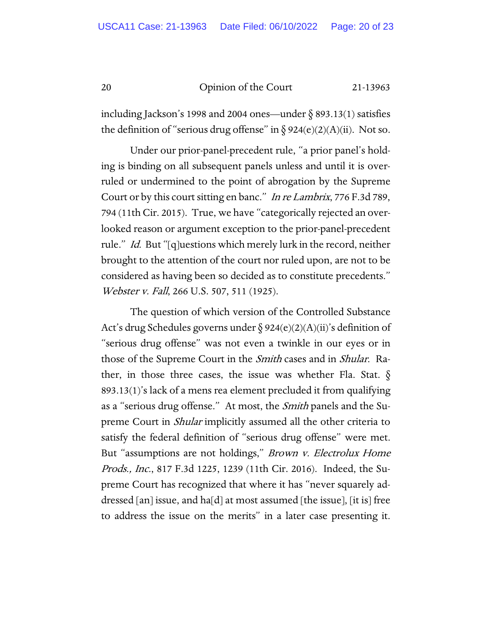including Jackson's 1998 and 2004 ones—under  $\S$  893.13(1) satisfies the definition of "serious drug offense" in  $\S 924(e)(2)(A)(ii)$ . Not so.

Under our prior-panel-precedent rule, "a prior panel's holding is binding on all subsequent panels unless and until it is overruled or undermined to the point of abrogation by the Supreme Court or by this court sitting en banc." In re Lambrix, 776 F.3d 789, 794 (11th Cir. 2015). True, we have "categorically rejected an overlooked reason or argument exception to the prior-panel-precedent rule." *Id.* But "[q]uestions which merely lurk in the record, neither brought to the attention of the court nor ruled upon, are not to be considered as having been so decided as to constitute precedents." Webster v. Fall, 266 U.S. 507, 511 (1925).

The question of which version of the Controlled Substance Act's drug Schedules governs under  $\S 924(e)(2)(A)(ii)$ 's definition of "serious drug offense" was not even a twinkle in our eyes or in those of the Supreme Court in the *Smith* cases and in *Shular*. Rather, in those three cases, the issue was whether Fla. Stat.  $\S$ 893.13(1)'s lack of a mens rea element precluded it from qualifying as a "serious drug offense." At most, the *Smith* panels and the Supreme Court in *Shular* implicitly assumed all the other criteria to satisfy the federal definition of "serious drug offense" were met. But "assumptions are not holdings," *Brown v. Electrolux Home* Prods., Inc., 817 F.3d 1225, 1239 (11th Cir. 2016). Indeed, the Supreme Court has recognized that where it has "never squarely addressed [an] issue, and ha[d] at most assumed [the issue], [it is] free to address the issue on the merits" in a later case presenting it.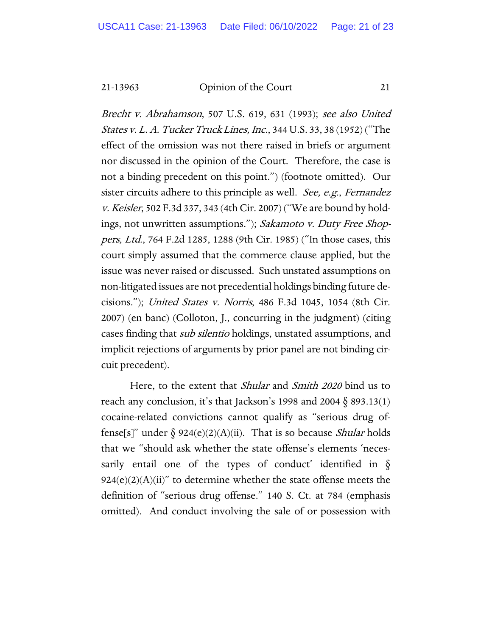Brecht v. Abrahamson, 507 U.S. 619, 631 (1993); see also United States v. L. A. Tucker Truck Lines, Inc., 344 U.S. 33, 38 (1952) ("The effect of the omission was not there raised in briefs or argument nor discussed in the opinion of the Court. Therefore, the case is not a binding precedent on this point.") (footnote omitted). Our sister circuits adhere to this principle as well. See, e.g., Fernandez v. Keisler, 502 F.3d 337, 343 (4th Cir. 2007) ("We are bound by holdings, not unwritten assumptions."); Sakamoto v. Duty Free Shoppers, Ltd., 764 F.2d 1285, 1288 (9th Cir. 1985) ("In those cases, this court simply assumed that the commerce clause applied, but the issue was never raised or discussed. Such unstated assumptions on non-litigated issues are not precedential holdings binding future decisions."); United States v. Norris, 486 F.3d 1045, 1054 (8th Cir. 2007) (en banc) (Colloton, J., concurring in the judgment) (citing cases finding that *sub silentio* holdings, unstated assumptions, and implicit rejections of arguments by prior panel are not binding circuit precedent).

Here, to the extent that *Shular* and *Smith 2020* bind us to reach any conclusion, it's that Jackson's 1998 and 2004  $\S$  893.13(1) cocaine-related convictions cannot qualify as "serious drug offense[s]" under  $\delta$  924(e)(2)(A)(ii). That is so because *Shular* holds that we "should ask whether the state offense's elements 'necessarily entail one of the types of conduct' identified in  $\S$  $924(e)(2)(A)(ii)$ " to determine whether the state offense meets the definition of "serious drug offense." 140 S. Ct. at 784 (emphasis omitted). And conduct involving the sale of or possession with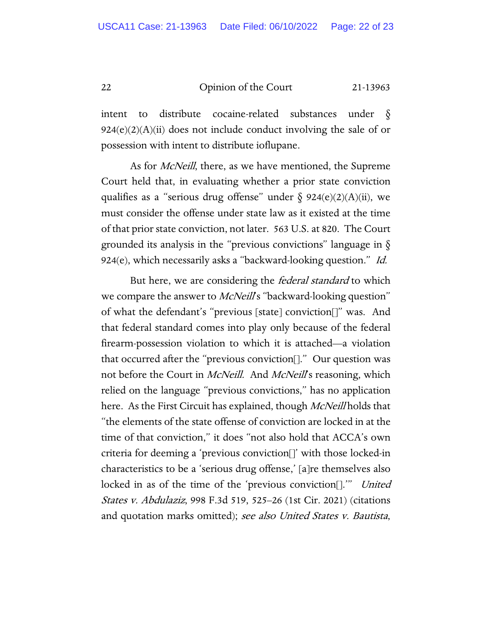intent to distribute cocaine-related substances under  $924(e)(2)(A)(ii)$  does not include conduct involving the sale of or possession with intent to distribute ioflupane.

As for *McNeill*, there, as we have mentioned, the Supreme Court held that, in evaluating whether a prior state conviction qualifies as a "serious drug offense" under  $\S$  924(e)(2)(A)(ii), we must consider the offense under state law as it existed at the time of that prior state conviction, not later. 563 U.S. at 820. The Court grounded its analysis in the "previous convictions" language in  $\S$ 924(e), which necessarily asks a "backward-looking question." Id.

But here, we are considering the *federal standard* to which we compare the answer to *McNeill*'s "backward-looking question" of what the defendant's "previous [state] conviction[]" was. And that federal standard comes into play only because of the federal firearm-possession violation to which it is attached—a violation that occurred after the "previous conviction[]." Our question was not before the Court in *McNeill*. And *McNeill*'s reasoning, which relied on the language "previous convictions," has no application here. As the First Circuit has explained, though *McNeill* holds that "the elements of the state offense of conviction are locked in at the time of that conviction," it does "not also hold that ACCA's own criteria for deeming a 'previous conviction[]' with those locked-in characteristics to be a 'serious drug offense,' [a]re themselves also locked in as of the time of the 'previous conviction[]." United States v. Abdulaziz, 998 F.3d 519, 525–26 (1st Cir. 2021) (citations and quotation marks omitted); see also United States v. Bautista,